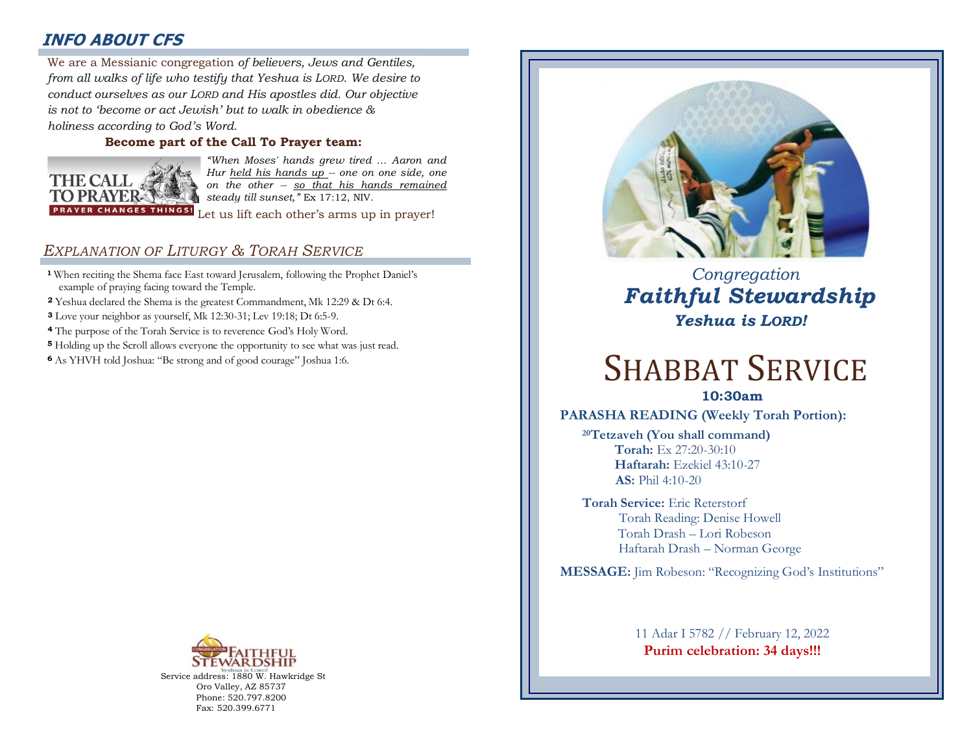## **INFO ABOUT CFS**

: *from all walks of life who testify that Yeshua is LORD. We desire to*  We are a Messianic congregation *of believers, Jews and Gentiles, conduct ourselves as our LORD and His apostles did. Our objective is not to 'become or act Jewish' but to walk in obedience & holiness according to God's Word.* 

### **Become part of the Call To Prayer team:**



*"When Moses' hands grew tired … Aaron and Hur held his hands up -- one on one side, one on the other -- so that his hands remained steady till sunset,"* Ex 17:12, NIV.

Let us lift each other's arms up in prayer!

## *EXPLANATION OF LITURGY & TORAH SERVICE*

- **<sup>1</sup>** When reciting the Shema face East toward Jerusalem, following the Prophet Daniel's example of praying facing toward the Temple.
- **<sup>2</sup>** Yeshua declared the Shema is the greatest Commandment, Mk 12:29 & Dt 6:4.
- **<sup>3</sup>** Love your neighbor as yourself, Mk 12:30-31; Lev 19:18; Dt 6:5-9.
- **<sup>4</sup>** The purpose of the Torah Service is to reverence God's Holy Word.
- **<sup>5</sup>** Holding up the Scroll allows everyone the opportunity to see what was just read.
- **<sup>6</sup>**As YHVH told Joshua: "Be strong and of good courage" Joshua 1:6.



Service address: 1880 W. Hawkridge St Oro Valley, AZ 85737 Phone: 520.797.8200 Fax: 520.399.6771



 *Congregation Faithful Stewardship Yeshua is LORD!*

# SHABBAT SERVICE

**10:30am**

**PARASHA READING (Weekly Torah Portion):**

**<sup>20</sup>Tetzaveh (You shall command) Torah:** Ex 27:20-30:10  **Haftarah:** Ezekiel 43:10-27 **AS:** Phil 4:10-20

**Torah Service:** Eric Reterstorf Torah Reading: Denise Howell Torah Drash – Lori Robeson Haftarah Drash – Norman George

**MESSAGE:** Jim Robeson: "Recognizing God's Institutions"